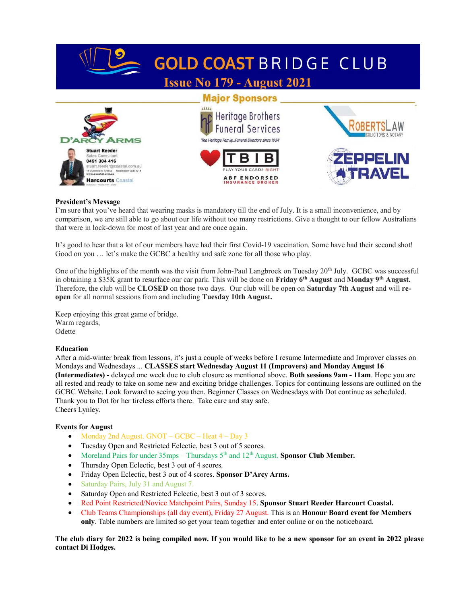

# President's Message

I'm sure that you've heard that wearing masks is mandatory till the end of July. It is a small inconvenience, and by comparison, we are still able to go about our life without too many restrictions. Give a thought to our fellow Australians that were in lock-down for most of last year and are once again.

It's good to hear that a lot of our members have had their first Covid-19 vaccination. Some have had their second shot! Good on you … let's make the GCBC a healthy and safe zone for all those who play.

One of the highlights of the month was the visit from John-Paul Langbroek on Tuesday  $20<sup>th</sup>$  July. GCBC was successful in obtaining a \$35K grant to resurface our car park. This will be done on Friday 6<sup>th</sup> August and Monday 9<sup>th</sup> August. Therefore, the club will be CLOSED on those two days. Our club will be open on Saturday 7th August and will reopen for all normal sessions from and including Tuesday 10th August.

Keep enjoying this great game of bridge. Warm regards, Odette

#### Education

After a mid-winter break from lessons, it's just a couple of weeks before I resume Intermediate and Improver classes on Mondays and Wednesdays ... CLASSES start Wednesday August 11 (Improvers) and Monday August 16 (Intermediates) - delayed one week due to club closure as mentioned above. Both sessions 9am - 11am. Hope you are all rested and ready to take on some new and exciting bridge challenges. Topics for continuing lessons are outlined on the GCBC Website. Look forward to seeing you then. Beginner Classes on Wednesdays with Dot continue as scheduled. Thank you to Dot for her tireless efforts there. Take care and stay safe. Cheers Lynley.

# Events for August

- Monday 2nd August. GNOT GCBC Heat 4 Day 3
- Tuesday Open and Restricted Eclectic, best 3 out of 5 scores.
- Moreland Pairs for under  $35 \text{mps} \text{Thursdays } 5^{\text{th}}$  and  $12^{\text{th}}$  August. Sponsor Club Member.
- Thursday Open Eclectic, best 3 out of 4 scores.
- Friday Open Eclectic, best 3 out of 4 scores. Sponsor D'Arcy Arms.
- Saturday Pairs, July 31 and August 7.
- Saturday Open and Restricted Eclectic, best 3 out of 3 scores.
- Red Point Restricted/Novice Matchpoint Pairs, Sunday 15. Sponsor Stuart Reeder Harcourt Coastal.
- Club Teams Championships (all day event), Friday 27 August. This is an Honour Board event for Members only. Table numbers are limited so get your team together and enter online or on the noticeboard.

The club diary for 2022 is being compiled now. If you would like to be a new sponsor for an event in 2022 please contact Di Hodges.